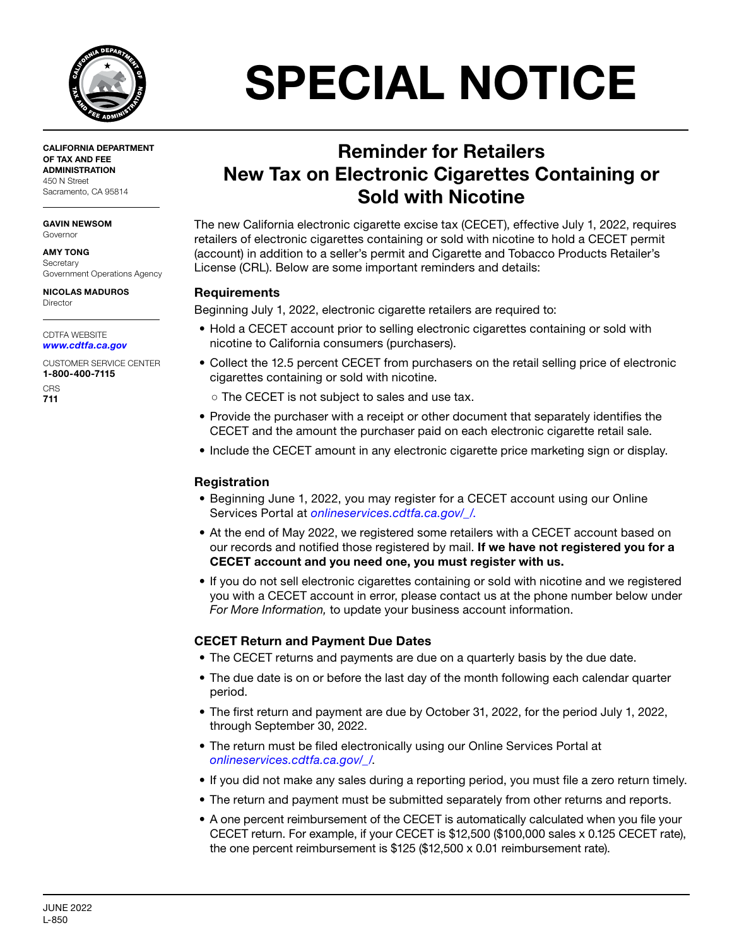

CALIFORNIA DEPARTMENT OF TAX AND FEE ADMINISTRATION 450 N Street Sacramento, CA 95814

GAVIN NEWSOM Governor

AMY TONG **Secretary** Government Operations Agency

NICOLAS MADUROS Director

CDTFA WEBSITE *[www.cdtfa.ca.gov](http://www.cdtfa.ca.gov)*

CUSTOMER SERVICE CENTER 1-800-400-7115 **CRS** 

711

# SPECIAL NOTICE

# Reminder for Retailers New Tax on Electronic Cigarettes Containing or Sold with Nicotine

The new California electronic cigarette excise tax (CECET), effective July 1, 2022, requires retailers of electronic cigarettes containing or sold with nicotine to hold a CECET permit (account) in addition to a seller's permit and Cigarette and Tobacco Products Retailer's License (CRL). Below are some important reminders and details:

## Requirements

Beginning July 1, 2022, electronic cigarette retailers are required to:

- Hold a CECET account prior to selling electronic cigarettes containing or sold with nicotine to California consumers (purchasers).
- Collect the 12.5 percent CECET from purchasers on the retail selling price of electronic cigarettes containing or sold with nicotine.
	- The CECET is not subject to sales and use tax.
- Provide the purchaser with a receipt or other document that separately identifies the CECET and the amount the purchaser paid on each electronic cigarette retail sale.
- Include the CECET amount in any electronic cigarette price marketing sign or display.

## Registration

- Beginning June 1, 2022, you may register for a CECET account using our Online Services Portal at *[onlineservices.cdtfa.ca.gov/\\_/](https://onlineservices.cdtfa.ca.gov/_/)*.
- At the end of May 2022, we registered some retailers with a CECET account based on our records and notified those registered by mail. If we have not registered you for a CECET account and you need one, you must register with us.
- If you do not sell electronic cigarettes containing or sold with nicotine and we registered you with a CECET account in error, please contact us at the phone number below under *For More Information,* to update your business account information.

## CECET Return and Payment Due Dates

- The CECET returns and payments are due on a quarterly basis by the due date.
- The due date is on or before the last day of the month following each calendar quarter period.
- The first return and payment are due by October 31, 2022, for the period July 1, 2022, through September 30, 2022.
- The return must be filed electronically using our Online Services Portal at *[onlineservices.cdtfa.ca.gov/\\_/](https://onlineservices.cdtfa.ca.gov/_/)*.
- If you did not make any sales during a reporting period, you must file a zero return timely.
- The return and payment must be submitted separately from other returns and reports.
- A one percent reimbursement of the CECET is automatically calculated when you file your CECET return. For example, if your CECET is \$12,500 (\$100,000 sales x 0.125 CECET rate), the one percent reimbursement is \$125 (\$12,500 x 0.01 reimbursement rate).